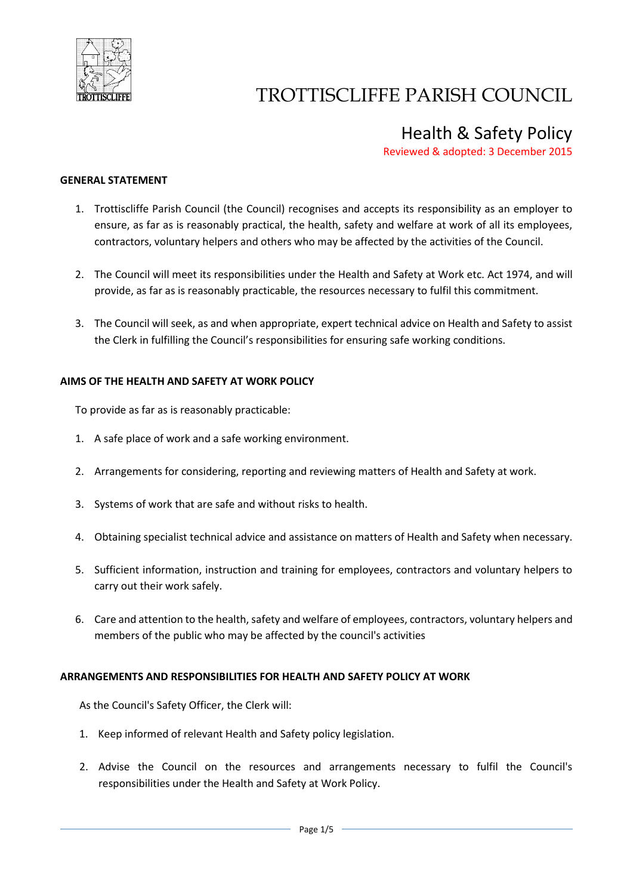

### Health & Safety Policy

Reviewed & adopted: 3 December 2015

### **GENERAL STATEMENT**

- 1. Trottiscliffe Parish Council (the Council) recognises and accepts its responsibility as an employer to ensure, as far as is reasonably practical, the health, safety and welfare at work of all its employees, contractors, voluntary helpers and others who may be affected by the activities of the Council.
- 2. The Council will meet its responsibilities under the Health and Safety at Work etc. Act 1974, and will provide, as far as is reasonably practicable, the resources necessary to fulfil this commitment.
- 3. The Council will seek, as and when appropriate, expert technical advice on Health and Safety to assist the Clerk in fulfilling the Council's responsibilities for ensuring safe working conditions.

### **AIMS OF THE HEALTH AND SAFETY AT WORK POLICY**

To provide as far as is reasonably practicable:

- 1. A safe place of work and a safe working environment.
- 2. Arrangements for considering, reporting and reviewing matters of Health and Safety at work.
- 3. Systems of work that are safe and without risks to health.
- 4. Obtaining specialist technical advice and assistance on matters of Health and Safety when necessary.
- 5. Sufficient information, instruction and training for employees, contractors and voluntary helpers to carry out their work safely.
- 6. Care and attention to the health, safety and welfare of employees, contractors, voluntary helpers and members of the public who may be affected by the council's activities

### **ARRANGEMENTS AND RESPONSIBILITIES FOR HEALTH AND SAFETY POLICY AT WORK**

As the Council's Safety Officer, the Clerk will:

- 1. Keep informed of relevant Health and Safety policy legislation.
- 2. Advise the Council on the resources and arrangements necessary to fulfil the Council's responsibilities under the Health and Safety at Work Policy.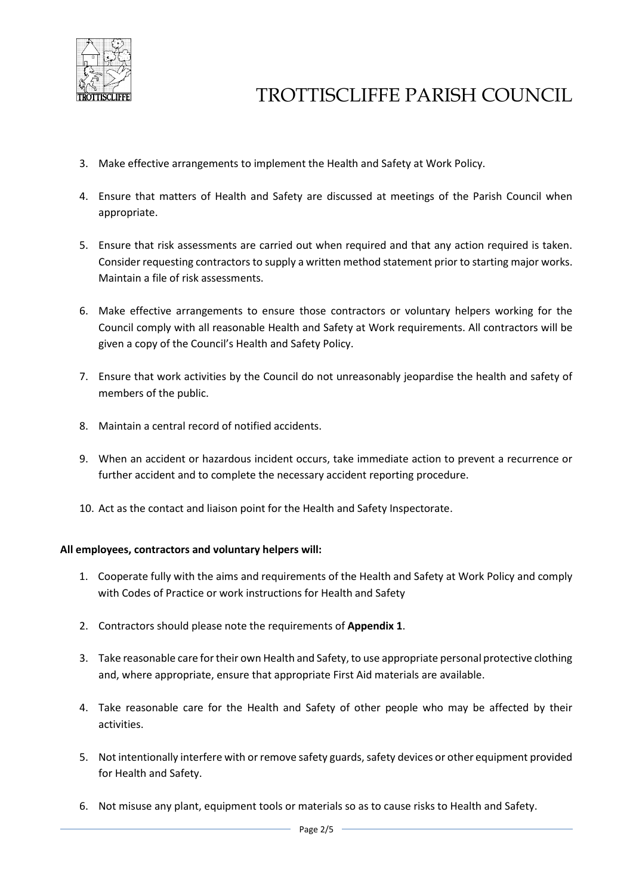

- 3. Make effective arrangements to implement the Health and Safety at Work Policy.
- 4. Ensure that matters of Health and Safety are discussed at meetings of the Parish Council when appropriate.
- 5. Ensure that risk assessments are carried out when required and that any action required is taken. Consider requesting contractors to supply a written method statement prior to starting major works. Maintain a file of risk assessments.
- 6. Make effective arrangements to ensure those contractors or voluntary helpers working for the Council comply with all reasonable Health and Safety at Work requirements. All contractors will be given a copy of the Council's Health and Safety Policy.
- 7. Ensure that work activities by the Council do not unreasonably jeopardise the health and safety of members of the public.
- 8. Maintain a central record of notified accidents.
- 9. When an accident or hazardous incident occurs, take immediate action to prevent a recurrence or further accident and to complete the necessary accident reporting procedure.
- 10. Act as the contact and liaison point for the Health and Safety Inspectorate.

### **All employees, contractors and voluntary helpers will:**

- 1. Cooperate fully with the aims and requirements of the Health and Safety at Work Policy and comply with Codes of Practice or work instructions for Health and Safety
- 2. Contractors should please note the requirements of **Appendix 1**.
- 3. Take reasonable care for their own Health and Safety, to use appropriate personal protective clothing and, where appropriate, ensure that appropriate First Aid materials are available.
- 4. Take reasonable care for the Health and Safety of other people who may be affected by their activities.
- 5. Not intentionally interfere with or remove safety guards, safety devices or other equipment provided for Health and Safety.
- 6. Not misuse any plant, equipment tools or materials so as to cause risks to Health and Safety.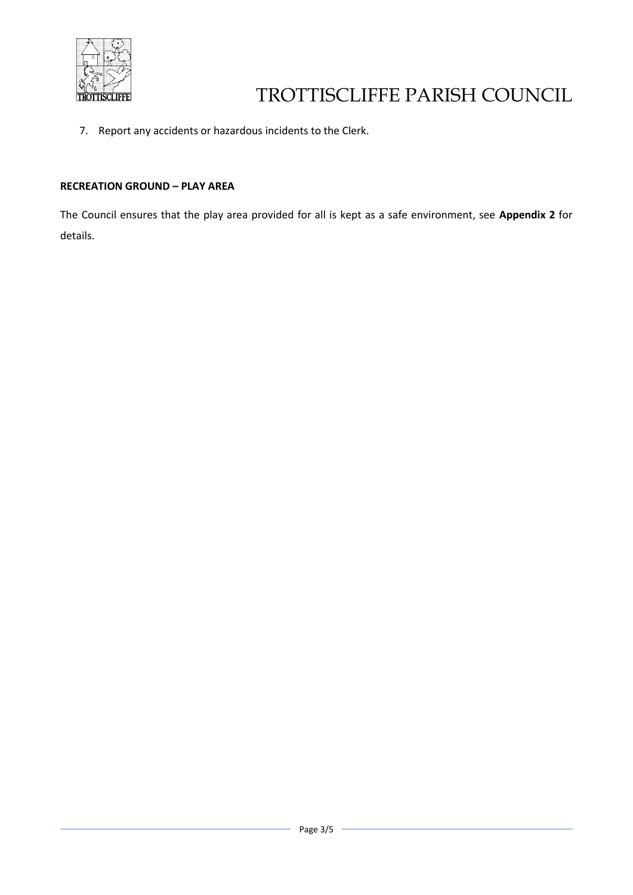

7. Report any accidents or hazardous incidents to the Clerk.

### **RECREATION GROUND – PLAY AREA**

The Council ensures that the play area provided for all is kept as a safe environment, see **Appendix 2** for details.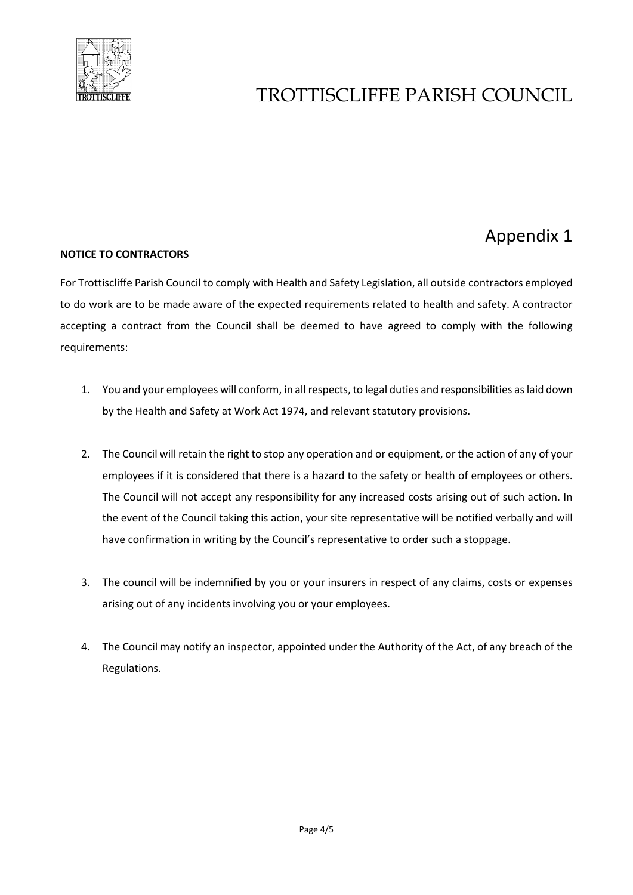

## Appendix 1

### **NOTICE TO CONTRACTORS**

For Trottiscliffe Parish Council to comply with Health and Safety Legislation, all outside contractors employed to do work are to be made aware of the expected requirements related to health and safety. A contractor accepting a contract from the Council shall be deemed to have agreed to comply with the following requirements:

- 1. You and your employees will conform, in all respects, to legal duties and responsibilities aslaid down by the Health and Safety at Work Act 1974, and relevant statutory provisions.
- 2. The Council will retain the right to stop any operation and or equipment, or the action of any of your employees if it is considered that there is a hazard to the safety or health of employees or others. The Council will not accept any responsibility for any increased costs arising out of such action. In the event of the Council taking this action, your site representative will be notified verbally and will have confirmation in writing by the Council's representative to order such a stoppage.
- 3. The council will be indemnified by you or your insurers in respect of any claims, costs or expenses arising out of any incidents involving you or your employees.
- 4. The Council may notify an inspector, appointed under the Authority of the Act, of any breach of the Regulations.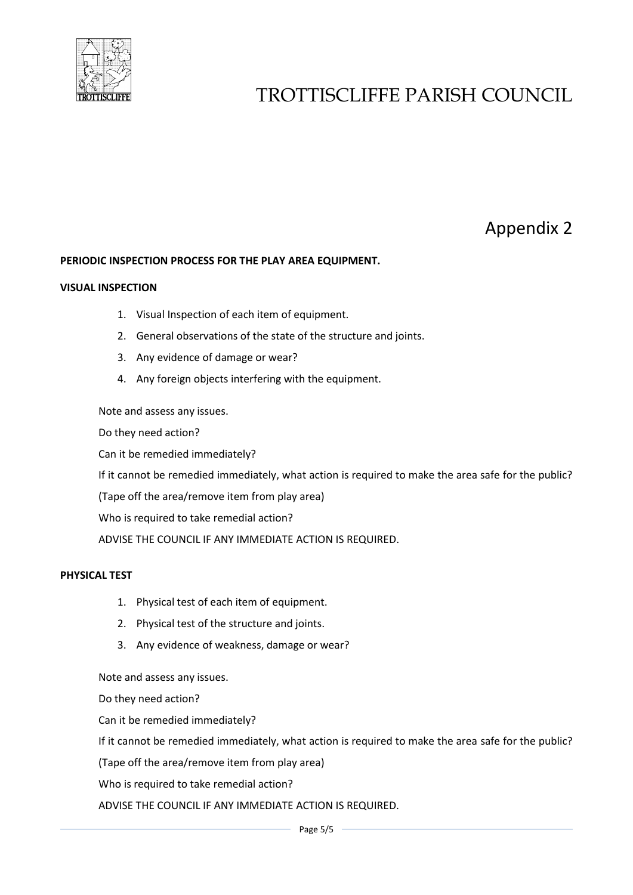

## Appendix 2

### **PERIODIC INSPECTION PROCESS FOR THE PLAY AREA EQUIPMENT.**

#### **VISUAL INSPECTION**

- 1. Visual Inspection of each item of equipment.
- 2. General observations of the state of the structure and joints.
- 3. Any evidence of damage or wear?
- 4. Any foreign objects interfering with the equipment.

Note and assess any issues.

Do they need action?

Can it be remedied immediately?

If it cannot be remedied immediately, what action is required to make the area safe for the public?

(Tape off the area/remove item from play area)

Who is required to take remedial action?

ADVISE THE COUNCIL IF ANY IMMEDIATE ACTION IS REQUIRED.

### **PHYSICAL TEST**

- 1. Physical test of each item of equipment.
- 2. Physical test of the structure and joints.
- 3. Any evidence of weakness, damage or wear?

Note and assess any issues.

Do they need action?

Can it be remedied immediately?

If it cannot be remedied immediately, what action is required to make the area safe for the public?

(Tape off the area/remove item from play area)

Who is required to take remedial action?

ADVISE THE COUNCIL IF ANY IMMEDIATE ACTION IS REQUIRED.